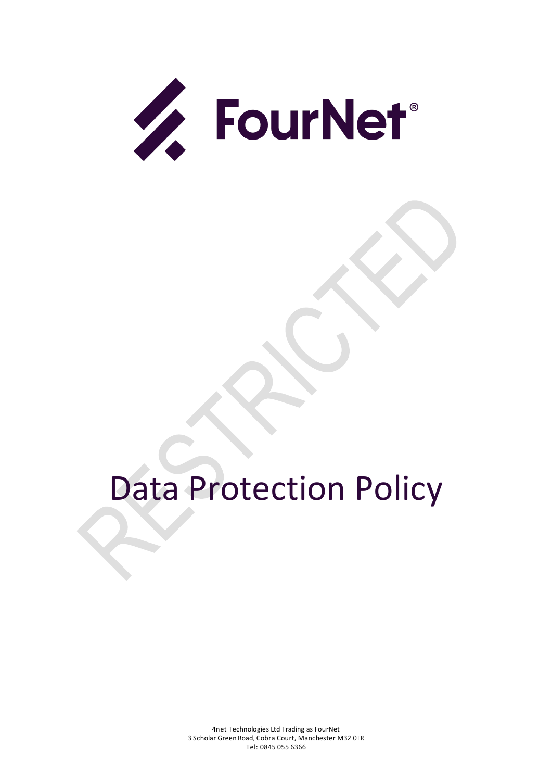

# Data Protection Policy

4net Technologies Ltd Trading as FourNet 3 Scholar Green Road, Cobra Court, Manchester M32 0TR Tel: 0845 055 6366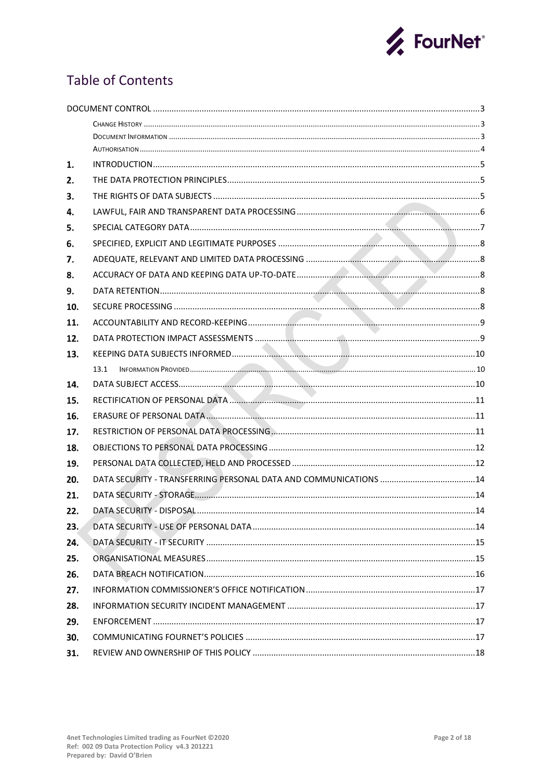

# **Table of Contents**

| 1.  |      |  |  |
|-----|------|--|--|
| 2.  |      |  |  |
| 3.  |      |  |  |
| 4.  |      |  |  |
| 5.  |      |  |  |
| 6.  |      |  |  |
| 7.  |      |  |  |
| 8.  |      |  |  |
| 9.  |      |  |  |
| 10. |      |  |  |
| 11. |      |  |  |
| 12. |      |  |  |
| 13. |      |  |  |
|     | 13.1 |  |  |
| 14. |      |  |  |
| 15. |      |  |  |
| 16. |      |  |  |
| 17. |      |  |  |
| 18. |      |  |  |
| 19. |      |  |  |
| 20. |      |  |  |
| 21. |      |  |  |
| 22. |      |  |  |
| 23. |      |  |  |
| 24. |      |  |  |
| 25. |      |  |  |
| 26. |      |  |  |
| 27. |      |  |  |
| 28. |      |  |  |
| 29. |      |  |  |
| 30. |      |  |  |
| 31. |      |  |  |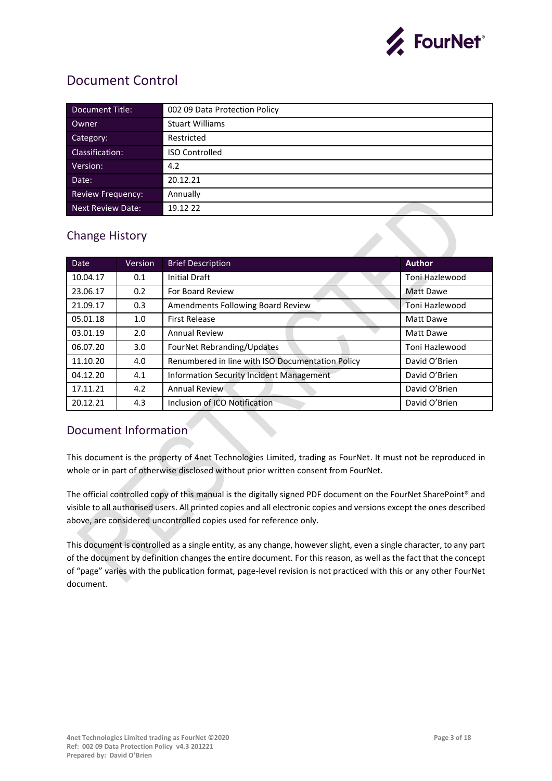

## <span id="page-2-0"></span>Document Control

| Document Title:          | 002 09 Data Protection Policy |
|--------------------------|-------------------------------|
| Owner                    | <b>Stuart Williams</b>        |
| Category:                | Restricted                    |
| Classification:          | <b>ISO Controlled</b>         |
| Version:                 | 4.2                           |
| Date:                    | 20.12.21                      |
| <b>Review Frequency:</b> | Annually                      |
| <b>Next Review Date:</b> | 19.12 22                      |

## <span id="page-2-1"></span>Change History

| <b>Date</b> | <b>Version</b> | <b>Brief Description</b>                         | <b>Author</b>  |
|-------------|----------------|--------------------------------------------------|----------------|
| 10.04.17    | 0.1            | <b>Initial Draft</b>                             | Toni Hazlewood |
| 23.06.17    | 0.2            | For Board Review                                 | Matt Dawe      |
| 21.09.17    | 0.3            | Amendments Following Board Review                | Toni Hazlewood |
| 05.01.18    | 1.0            | <b>First Release</b>                             | Matt Dawe      |
| 03.01.19    | 2.0            | <b>Annual Review</b>                             | Matt Dawe      |
| 06.07.20    | 3.0            | FourNet Rebranding/Updates                       | Toni Hazlewood |
| 11.10.20    | 4.0            | Renumbered in line with ISO Documentation Policy | David O'Brien  |
| 04.12.20    | 4.1            | <b>Information Security Incident Management</b>  | David O'Brien  |
| 17.11.21    | 4.2            | <b>Annual Review</b>                             | David O'Brien  |
| 20.12.21    | 4.3            | Inclusion of ICO Notification                    | David O'Brien  |

## <span id="page-2-2"></span>Document Information

This document is the property of 4net Technologies Limited, trading as FourNet. It must not be reproduced in whole or in part of otherwise disclosed without prior written consent from FourNet.

The official controlled copy of this manual is the digitally signed PDF document on the FourNet SharePoint® and visible to all authorised users. All printed copies and all electronic copies and versions except the ones described above, are considered uncontrolled copies used for reference only.

This document is controlled as a single entity, as any change, however slight, even a single character, to any part of the document by definition changes the entire document. For this reason, as well as the fact that the concept of "page" varies with the publication format, page-level revision is not practiced with this or any other FourNet document.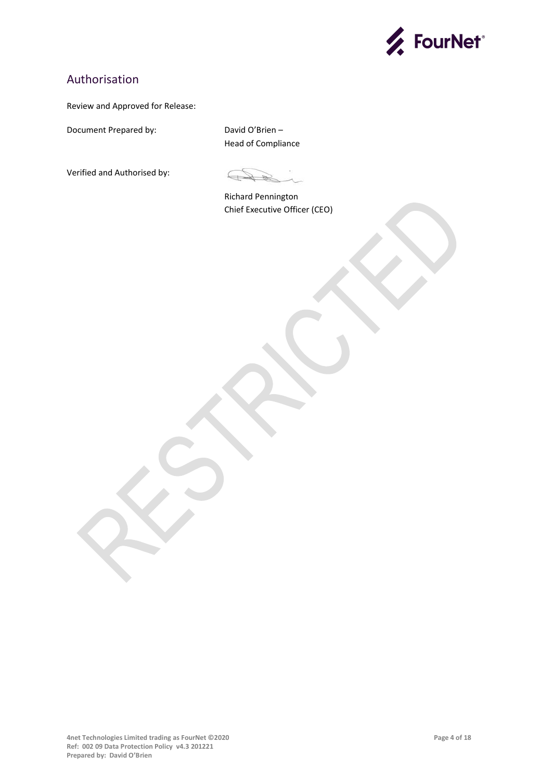

## <span id="page-3-0"></span>Authorisation

#### Review and Approved for Release:

Document Prepared by: David O'Brien –

Head of Compliance

Verified and Authorised by:

 $\mathbb{R}$ 

Richard Pennington Chief Executive Officer (CEO)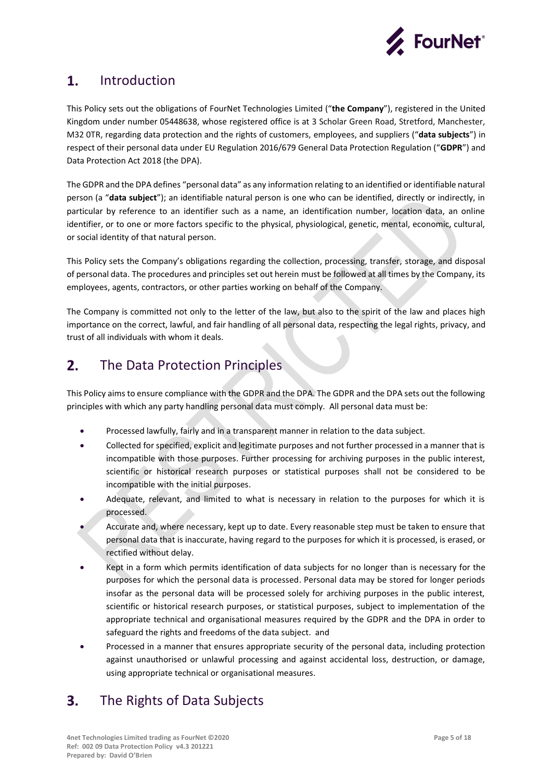

#### <span id="page-4-0"></span> $\mathbf{1}$ . Introduction

This Policy sets out the obligations of FourNet Technologies Limited ("**the Company**"), registered in the United Kingdom under number 05448638, whose registered office is at 3 Scholar Green Road, Stretford, Manchester, M32 0TR, regarding data protection and the rights of customers, employees, and suppliers ("**data subjects**") in respect of their personal data under EU Regulation 2016/679 General Data Protection Regulation ("**GDPR**") and Data Protection Act 2018 (the DPA).

The GDPR and the DPA defines "personal data" as any information relating to an identified or identifiable natural person (a "**data subject**"); an identifiable natural person is one who can be identified, directly or indirectly, in particular by reference to an identifier such as a name, an identification number, location data, an online identifier, or to one or more factors specific to the physical, physiological, genetic, mental, economic, cultural, or social identity of that natural person.

This Policy sets the Company's obligations regarding the collection, processing, transfer, storage, and disposal of personal data. The procedures and principles set out herein must be followed at all times by the Company, its employees, agents, contractors, or other parties working on behalf of the Company.

The Company is committed not only to the letter of the law, but also to the spirit of the law and places high importance on the correct, lawful, and fair handling of all personal data, respecting the legal rights, privacy, and trust of all individuals with whom it deals.

#### <span id="page-4-1"></span>The Data Protection Principles  $2.$

This Policy aims to ensure compliance with the GDPR and the DPA. The GDPR and the DPA sets out the following principles with which any party handling personal data must comply. All personal data must be:

- Processed lawfully, fairly and in a transparent manner in relation to the data subject.
- Collected for specified, explicit and legitimate purposes and not further processed in a manner that is incompatible with those purposes. Further processing for archiving purposes in the public interest, scientific or historical research purposes or statistical purposes shall not be considered to be incompatible with the initial purposes.
- Adequate, relevant, and limited to what is necessary in relation to the purposes for which it is processed.
- Accurate and, where necessary, kept up to date. Every reasonable step must be taken to ensure that personal data that is inaccurate, having regard to the purposes for which it is processed, is erased, or rectified without delay.
- Kept in a form which permits identification of data subjects for no longer than is necessary for the purposes for which the personal data is processed. Personal data may be stored for longer periods insofar as the personal data will be processed solely for archiving purposes in the public interest, scientific or historical research purposes, or statistical purposes, subject to implementation of the appropriate technical and organisational measures required by the GDPR and the DPA in order to safeguard the rights and freedoms of the data subject. and
- Processed in a manner that ensures appropriate security of the personal data, including protection against unauthorised or unlawful processing and against accidental loss, destruction, or damage, using appropriate technical or organisational measures.

#### <span id="page-4-2"></span> $3.$ The Rights of Data Subjects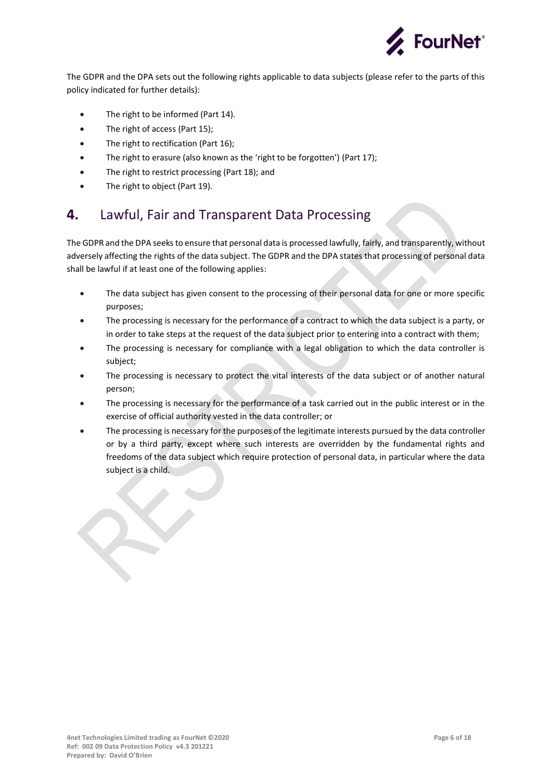

The GDPR and the DPA sets out the following rights applicable to data subjects (please refer to the parts of this policy indicated for further details):

- The right to be informed (Part 14).
- The right of access (Part 15):
- The right to rectification (Part 16):
- The right to erasure (also known as the 'right to be forgotten') (Part 17);
- The right to restrict processing (Part 18); and
- The right to object (Part 19).

#### <span id="page-5-0"></span>4. Lawful, Fair and Transparent Data Processing

The GDPR and the DPA seeks to ensure that personal data is processed lawfully, fairly, and transparently, without adversely affecting the rights of the data subject. The GDPR and the DPA states that processing of personal data shall be lawful if at least one of the following applies:

- The data subject has given consent to the processing of their personal data for one or more specific purposes;
- The processing is necessary for the performance of a contract to which the data subject is a party, or in order to take steps at the request of the data subject prior to entering into a contract with them;
- The processing is necessary for compliance with a legal obligation to which the data controller is subject;
- The processing is necessary to protect the vital interests of the data subject or of another natural person;
- The processing is necessary for the performance of a task carried out in the public interest or in the exercise of official authority vested in the data controller; or
- The processing is necessary for the purposes of the legitimate interests pursued by the data controller or by a third party, except where such interests are overridden by the fundamental rights and freedoms of the data subject which require protection of personal data, in particular where the data subject is a child.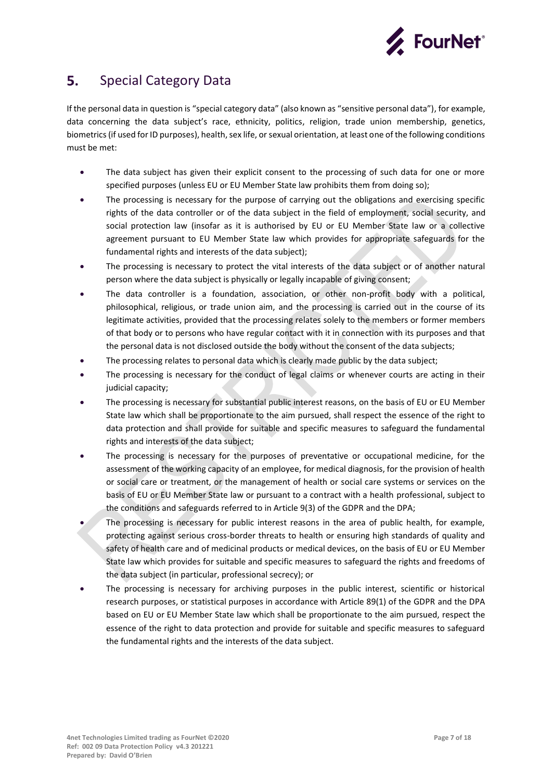

#### <span id="page-6-0"></span>5. Special Category Data

If the personal data in question is "special category data" (also known as "sensitive personal data"), for example, data concerning the data subject's race, ethnicity, politics, religion, trade union membership, genetics, biometrics (if used for ID purposes), health, sex life, or sexual orientation, at least one of the following conditions must be met:

- The data subject has given their explicit consent to the processing of such data for one or more specified purposes (unless EU or EU Member State law prohibits them from doing so);
- The processing is necessary for the purpose of carrying out the obligations and exercising specific rights of the data controller or of the data subject in the field of employment, social security, and social protection law (insofar as it is authorised by EU or EU Member State law or a collective agreement pursuant to EU Member State law which provides for appropriate safeguards for the fundamental rights and interests of the data subject);
- The processing is necessary to protect the vital interests of the data subject or of another natural person where the data subject is physically or legally incapable of giving consent;
- The data controller is a foundation, association, or other non-profit body with a political, philosophical, religious, or trade union aim, and the processing is carried out in the course of its legitimate activities, provided that the processing relates solely to the members or former members of that body or to persons who have regular contact with it in connection with its purposes and that the personal data is not disclosed outside the body without the consent of the data subjects;
- The processing relates to personal data which is clearly made public by the data subject;
- The processing is necessary for the conduct of legal claims or whenever courts are acting in their judicial capacity;
- The processing is necessary for substantial public interest reasons, on the basis of EU or EU Member State law which shall be proportionate to the aim pursued, shall respect the essence of the right to data protection and shall provide for suitable and specific measures to safeguard the fundamental rights and interests of the data subject;
- The processing is necessary for the purposes of preventative or occupational medicine, for the assessment of the working capacity of an employee, for medical diagnosis, for the provision of health or social care or treatment, or the management of health or social care systems or services on the basis of EU or EU Member State law or pursuant to a contract with a health professional, subject to the conditions and safeguards referred to in Article 9(3) of the GDPR and the DPA;
- The processing is necessary for public interest reasons in the area of public health, for example, protecting against serious cross-border threats to health or ensuring high standards of quality and safety of health care and of medicinal products or medical devices, on the basis of EU or EU Member State law which provides for suitable and specific measures to safeguard the rights and freedoms of the data subject (in particular, professional secrecy); or
- The processing is necessary for archiving purposes in the public interest, scientific or historical research purposes, or statistical purposes in accordance with Article 89(1) of the GDPR and the DPA based on EU or EU Member State law which shall be proportionate to the aim pursued, respect the essence of the right to data protection and provide for suitable and specific measures to safeguard the fundamental rights and the interests of the data subject.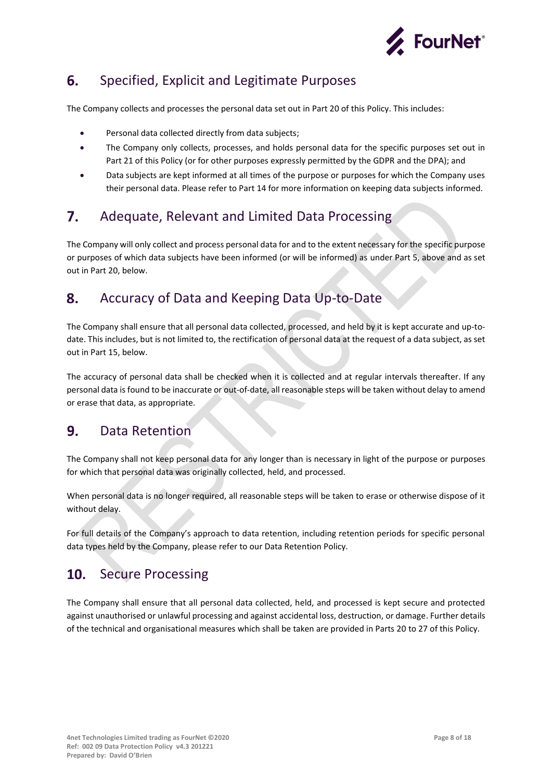

#### <span id="page-7-0"></span>Specified, Explicit and Legitimate Purposes 6.

The Company collects and processes the personal data set out in Part 20 of this Policy. This includes:

- Personal data collected directly from data subjects;
- The Company only collects, processes, and holds personal data for the specific purposes set out in Part 21 of this Policy (or for other purposes expressly permitted by the GDPR and the DPA); and
- Data subjects are kept informed at all times of the purpose or purposes for which the Company uses their personal data. Please refer to Part 14 for more information on keeping data subjects informed.

#### <span id="page-7-1"></span>7. Adequate, Relevant and Limited Data Processing

The Company will only collect and process personal data for and to the extent necessary for the specific purpose or purposes of which data subjects have been informed (or will be informed) as under Part 5, above and as set out in Part 20, below.

#### <span id="page-7-2"></span>8. Accuracy of Data and Keeping Data Up-to-Date

The Company shall ensure that all personal data collected, processed, and held by it is kept accurate and up-todate. This includes, but is not limited to, the rectification of personal data at the request of a data subject, as set out in Part 15, below.

The accuracy of personal data shall be checked when it is collected and at regular intervals thereafter. If any personal data is found to be inaccurate or out-of-date, all reasonable steps will be taken without delay to amend or erase that data, as appropriate.

#### <span id="page-7-3"></span>9. Data Retention

The Company shall not keep personal data for any longer than is necessary in light of the purpose or purposes for which that personal data was originally collected, held, and processed.

When personal data is no longer required, all reasonable steps will be taken to erase or otherwise dispose of it without delay.

For full details of the Company's approach to data retention, including retention periods for specific personal data types held by the Company, please refer to our Data Retention Policy.

#### <span id="page-7-4"></span> $10<sub>1</sub>$ Secure Processing

The Company shall ensure that all personal data collected, held, and processed is kept secure and protected against unauthorised or unlawful processing and against accidental loss, destruction, or damage. Further details of the technical and organisational measures which shall be taken are provided in Parts 20 to 27 of this Policy.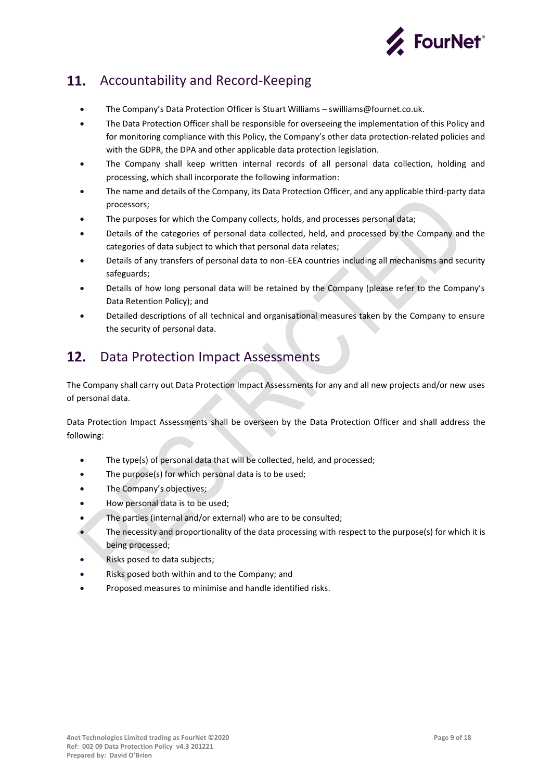

#### <span id="page-8-0"></span>11. Accountability and Record-Keeping

- The Company's Data Protection Officer is Stuart Williams swilliams@fournet.co.uk.
- The Data Protection Officer shall be responsible for overseeing the implementation of this Policy and for monitoring compliance with this Policy, the Company's other data protection-related policies and with the GDPR, the DPA and other applicable data protection legislation.
- The Company shall keep written internal records of all personal data collection, holding and processing, which shall incorporate the following information:
- The name and details of the Company, its Data Protection Officer, and any applicable third-party data processors;
- The purposes for which the Company collects, holds, and processes personal data;
- Details of the categories of personal data collected, held, and processed by the Company and the categories of data subject to which that personal data relates;
- Details of any transfers of personal data to non-EEA countries including all mechanisms and security safeguards;
- Details of how long personal data will be retained by the Company (please refer to the Company's Data Retention Policy); and
- Detailed descriptions of all technical and organisational measures taken by the Company to ensure the security of personal data.

#### <span id="page-8-1"></span> $12.$ Data Protection Impact Assessments

The Company shall carry out Data Protection Impact Assessments for any and all new projects and/or new uses of personal data.

Data Protection Impact Assessments shall be overseen by the Data Protection Officer and shall address the following:

- The type(s) of personal data that will be collected, held, and processed;
- The purpose(s) for which personal data is to be used;
- The Company's objectives;
- How personal data is to be used;
- The parties (internal and/or external) who are to be consulted;
- The necessity and proportionality of the data processing with respect to the purpose(s) for which it is being processed;
- Risks posed to data subjects;
- Risks posed both within and to the Company; and
- Proposed measures to minimise and handle identified risks.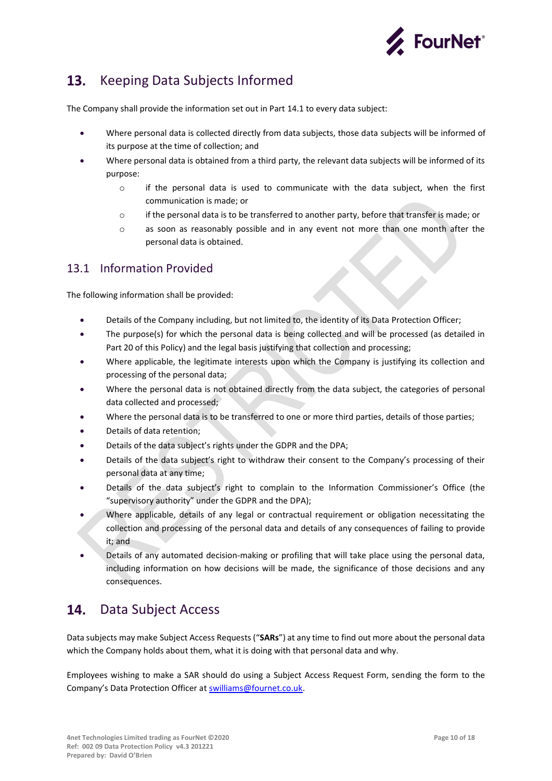

#### <span id="page-9-0"></span>Keeping Data Subjects Informed  $13.$

The Company shall provide the information set out in Part 14.1 to every data subject:

- Where personal data is collected directly from data subjects, those data subjects will be informed of its purpose at the time of collection; and
- Where personal data is obtained from a third party, the relevant data subjects will be informed of its purpose:
	- $\circ$  if the personal data is used to communicate with the data subject, when the first communication is made; or
	- o if the personal data is to be transferred to another party, before that transfer is made; or
	- o as soon as reasonably possible and in any event not more than one month after the personal data is obtained.

### <span id="page-9-1"></span>13.1 Information Provided

The following information shall be provided:

- Details of the Company including, but not limited to, the identity of its Data Protection Officer;
- The purpose(s) for which the personal data is being collected and will be processed (as detailed in Part 20 of this Policy) and the legal basis justifying that collection and processing;
- Where applicable, the legitimate interests upon which the Company is justifying its collection and processing of the personal data;
- Where the personal data is not obtained directly from the data subject, the categories of personal data collected and processed;
- Where the personal data is to be transferred to one or more third parties, details of those parties;
- Details of data retention;
- Details of the data subject's rights under the GDPR and the DPA;
- Details of the data subject's right to withdraw their consent to the Company's processing of their personal data at any time;
- Details of the data subject's right to complain to the Information Commissioner's Office (the "supervisory authority" under the GDPR and the DPA);
- Where applicable, details of any legal or contractual requirement or obligation necessitating the collection and processing of the personal data and details of any consequences of failing to provide it; and
- Details of any automated decision-making or profiling that will take place using the personal data, including information on how decisions will be made, the significance of those decisions and any consequences.

#### <span id="page-9-2"></span>14. Data Subject Access

Data subjects may make Subject Access Requests ("**SARs**") at any time to find out more about the personal data which the Company holds about them, what it is doing with that personal data and why.

Employees wishing to make a SAR should do using a Subject Access Request Form, sending the form to the Company's Data Protection Officer at [swilliams@fournet.co.uk.](mailto:swilliams@fournet.co.uk)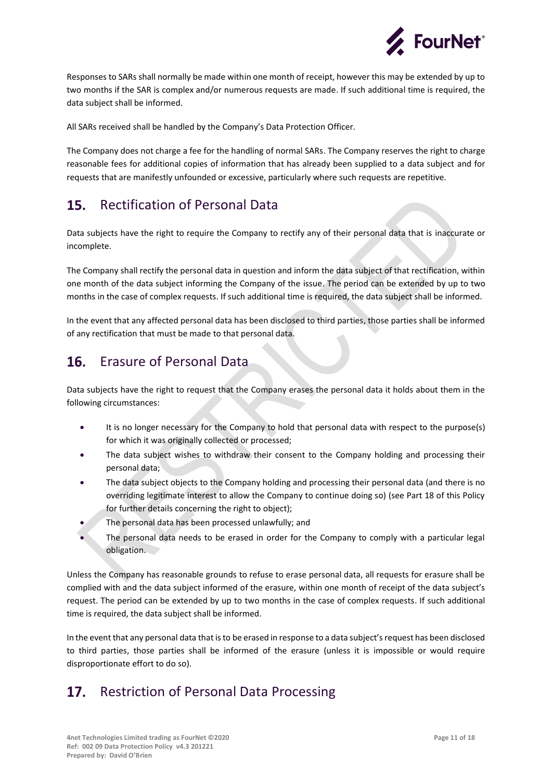

Responses to SARs shall normally be made within one month of receipt, however this may be extended by up to two months if the SAR is complex and/or numerous requests are made. If such additional time is required, the data subject shall be informed.

All SARs received shall be handled by the Company's Data Protection Officer.

The Company does not charge a fee for the handling of normal SARs. The Company reserves the right to charge reasonable fees for additional copies of information that has already been supplied to a data subject and for requests that are manifestly unfounded or excessive, particularly where such requests are repetitive.

#### <span id="page-10-0"></span>**15.** Rectification of Personal Data

Data subjects have the right to require the Company to rectify any of their personal data that is inaccurate or incomplete.

The Company shall rectify the personal data in question and inform the data subject of that rectification, within one month of the data subject informing the Company of the issue. The period can be extended by up to two months in the case of complex requests. If such additional time is required, the data subject shall be informed.

In the event that any affected personal data has been disclosed to third parties, those parties shall be informed of any rectification that must be made to that personal data.

#### <span id="page-10-1"></span>16. Erasure of Personal Data

Data subjects have the right to request that the Company erases the personal data it holds about them in the following circumstances:

- It is no longer necessary for the Company to hold that personal data with respect to the purpose(s) for which it was originally collected or processed;
- The data subject wishes to withdraw their consent to the Company holding and processing their personal data;
- The data subject objects to the Company holding and processing their personal data (and there is no overriding legitimate interest to allow the Company to continue doing so) (see Part 18 of this Policy for further details concerning the right to object);
- The personal data has been processed unlawfully; and
- The personal data needs to be erased in order for the Company to comply with a particular legal obligation.

Unless the Company has reasonable grounds to refuse to erase personal data, all requests for erasure shall be complied with and the data subject informed of the erasure, within one month of receipt of the data subject's request. The period can be extended by up to two months in the case of complex requests. If such additional time is required, the data subject shall be informed.

In the event that any personal data that is to be erased in response to a data subject's request has been disclosed to third parties, those parties shall be informed of the erasure (unless it is impossible or would require disproportionate effort to do so).

#### <span id="page-10-2"></span>Restriction of Personal Data Processing $17.$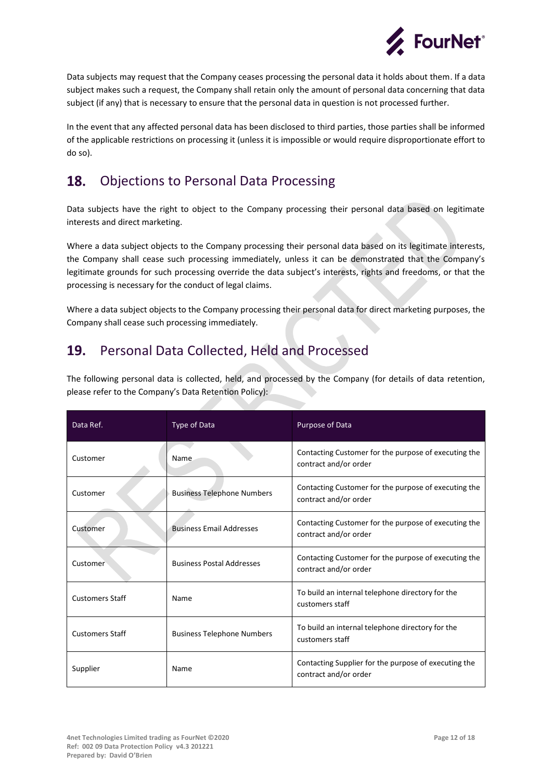

Data subjects may request that the Company ceases processing the personal data it holds about them. If a data subject makes such a request, the Company shall retain only the amount of personal data concerning that data subject (if any) that is necessary to ensure that the personal data in question is not processed further.

In the event that any affected personal data has been disclosed to third parties, those parties shall be informed of the applicable restrictions on processing it (unless it is impossible or would require disproportionate effort to do so).

#### <span id="page-11-0"></span>18. Objections to Personal Data Processing

Data subjects have the right to object to the Company processing their personal data based on legitimate interests and direct marketing.

Where a data subject objects to the Company processing their personal data based on its legitimate interests, the Company shall cease such processing immediately, unless it can be demonstrated that the Company's legitimate grounds for such processing override the data subject's interests, rights and freedoms, or that the processing is necessary for the conduct of legal claims.

Where a data subject objects to the Company processing their personal data for direct marketing purposes, the Company shall cease such processing immediately.

#### <span id="page-11-1"></span>19. Personal Data Collected, Held and Processed

The following personal data is collected, held, and processed by the Company (for details of data retention, please refer to the Company's Data Retention Policy):

| Data Ref.              | Type of Data                      | Purpose of Data                                                               |
|------------------------|-----------------------------------|-------------------------------------------------------------------------------|
| Customer               | Name                              | Contacting Customer for the purpose of executing the<br>contract and/or order |
| Customer               | <b>Business Telephone Numbers</b> | Contacting Customer for the purpose of executing the<br>contract and/or order |
| Customer               | <b>Business Email Addresses</b>   | Contacting Customer for the purpose of executing the<br>contract and/or order |
| Customer               | <b>Business Postal Addresses</b>  | Contacting Customer for the purpose of executing the<br>contract and/or order |
| <b>Customers Staff</b> | Name                              | To build an internal telephone directory for the<br>customers staff           |
| <b>Customers Staff</b> | <b>Business Telephone Numbers</b> | To build an internal telephone directory for the<br>customers staff           |
| Supplier               | Name                              | Contacting Supplier for the purpose of executing the<br>contract and/or order |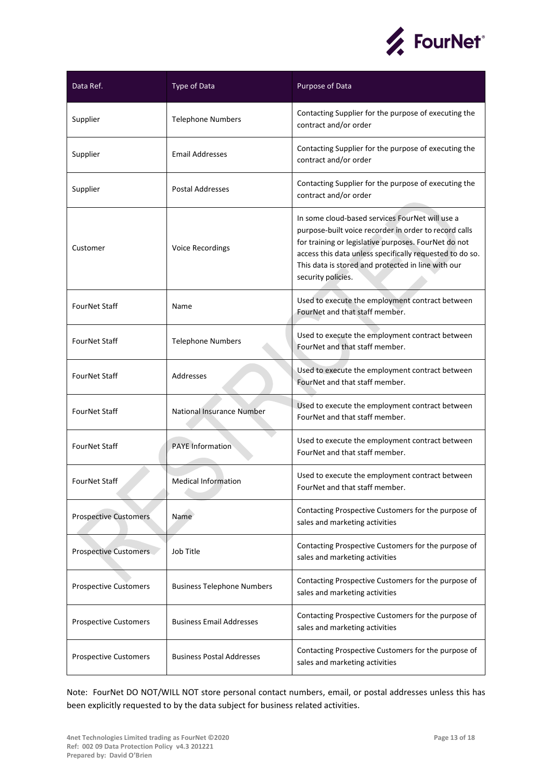

| Data Ref.                    | Type of Data                      | Purpose of Data                                                                                                                                                                                                                                                                                          |
|------------------------------|-----------------------------------|----------------------------------------------------------------------------------------------------------------------------------------------------------------------------------------------------------------------------------------------------------------------------------------------------------|
| Supplier                     | <b>Telephone Numbers</b>          | Contacting Supplier for the purpose of executing the<br>contract and/or order                                                                                                                                                                                                                            |
| Supplier                     | <b>Email Addresses</b>            | Contacting Supplier for the purpose of executing the<br>contract and/or order                                                                                                                                                                                                                            |
| Supplier                     | <b>Postal Addresses</b>           | Contacting Supplier for the purpose of executing the<br>contract and/or order                                                                                                                                                                                                                            |
| Customer                     | Voice Recordings                  | In some cloud-based services FourNet will use a<br>purpose-built voice recorder in order to record calls<br>for training or legislative purposes. FourNet do not<br>access this data unless specifically requested to do so.<br>This data is stored and protected in line with our<br>security policies. |
| FourNet Staff                | Name                              | Used to execute the employment contract between<br>FourNet and that staff member.                                                                                                                                                                                                                        |
| FourNet Staff                | <b>Telephone Numbers</b>          | Used to execute the employment contract between<br>FourNet and that staff member.                                                                                                                                                                                                                        |
| FourNet Staff                | Addresses                         | Used to execute the employment contract between<br>FourNet and that staff member.                                                                                                                                                                                                                        |
| FourNet Staff                | National Insurance Number         | Used to execute the employment contract between<br>FourNet and that staff member.                                                                                                                                                                                                                        |
| FourNet Staff                | <b>PAYE Information</b>           | Used to execute the employment contract between<br>FourNet and that staff member.                                                                                                                                                                                                                        |
| FourNet Staff                | <b>Medical Information</b>        | Used to execute the employment contract between<br>FourNet and that staff member.                                                                                                                                                                                                                        |
| <b>Prospective Customers</b> | Name                              | Contacting Prospective Customers for the purpose of<br>sales and marketing activities                                                                                                                                                                                                                    |
| Prospective Customers        | Job Title                         | Contacting Prospective Customers for the purpose of<br>sales and marketing activities                                                                                                                                                                                                                    |
| <b>Prospective Customers</b> | <b>Business Telephone Numbers</b> | Contacting Prospective Customers for the purpose of<br>sales and marketing activities                                                                                                                                                                                                                    |
| <b>Prospective Customers</b> | <b>Business Email Addresses</b>   | Contacting Prospective Customers for the purpose of<br>sales and marketing activities                                                                                                                                                                                                                    |
| <b>Prospective Customers</b> | <b>Business Postal Addresses</b>  | Contacting Prospective Customers for the purpose of<br>sales and marketing activities                                                                                                                                                                                                                    |

Note: FourNet DO NOT/WILL NOT store personal contact numbers, email, or postal addresses unless this has been explicitly requested to by the data subject for business related activities.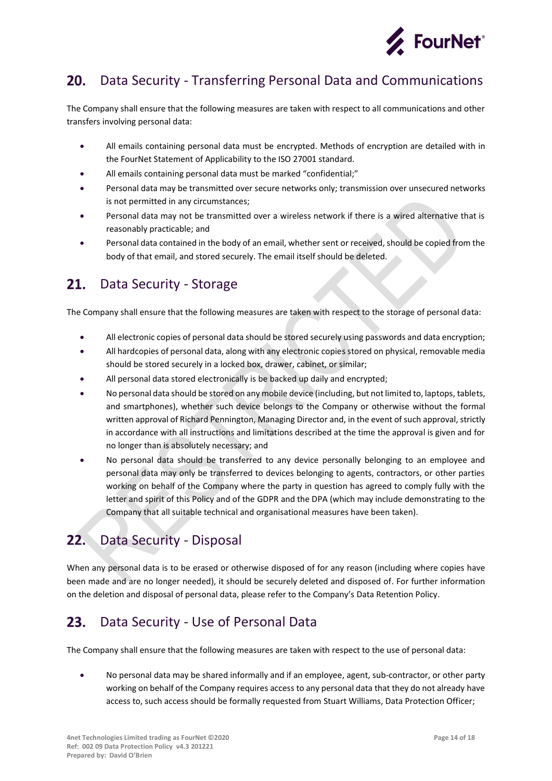

#### <span id="page-13-0"></span>Data Security - Transferring Personal Data and Communications  $20.$

The Company shall ensure that the following measures are taken with respect to all communications and other transfers involving personal data:

- All emails containing personal data must be encrypted. Methods of encryption are detailed with in the FourNet Statement of Applicability to the ISO 27001 standard.
- All emails containing personal data must be marked "confidential;"
- Personal data may be transmitted over secure networks only; transmission over unsecured networks is not permitted in any circumstances;
- Personal data may not be transmitted over a wireless network if there is a wired alternative that is reasonably practicable; and
- Personal data contained in the body of an email, whether sent or received, should be copied from the body of that email, and stored securely. The email itself should be deleted.

#### <span id="page-13-1"></span> $21.$ Data Security - Storage

The Company shall ensure that the following measures are taken with respect to the storage of personal data:

- All electronic copies of personal data should be stored securely using passwords and data encryption;
- All hardcopies of personal data, along with any electronic copies stored on physical, removable media should be stored securely in a locked box, drawer, cabinet, or similar;
- All personal data stored electronically is be backed up daily and encrypted;
- No personal data should be stored on any mobile device (including, but not limited to, laptops, tablets, and smartphones), whether such device belongs to the Company or otherwise without the formal written approval of Richard Pennington, Managing Director and, in the event of such approval, strictly in accordance with all instructions and limitations described at the time the approval is given and for no longer than is absolutely necessary; and
- No personal data should be transferred to any device personally belonging to an employee and personal data may only be transferred to devices belonging to agents, contractors, or other parties working on behalf of the Company where the party in question has agreed to comply fully with the letter and spirit of this Policy and of the GDPR and the DPA (which may include demonstrating to the Company that all suitable technical and organisational measures have been taken).

#### <span id="page-13-2"></span>Data Security - Disposal  $22.$

When any personal data is to be erased or otherwise disposed of for any reason (including where copies have been made and are no longer needed), it should be securely deleted and disposed of. For further information on the deletion and disposal of personal data, please refer to the Company's Data Retention Policy.

#### <span id="page-13-3"></span> $23.$ Data Security - Use of Personal Data

The Company shall ensure that the following measures are taken with respect to the use of personal data:

• No personal data may be shared informally and if an employee, agent, sub-contractor, or other party working on behalf of the Company requires access to any personal data that they do not already have access to, such access should be formally requested from Stuart Williams, Data Protection Officer;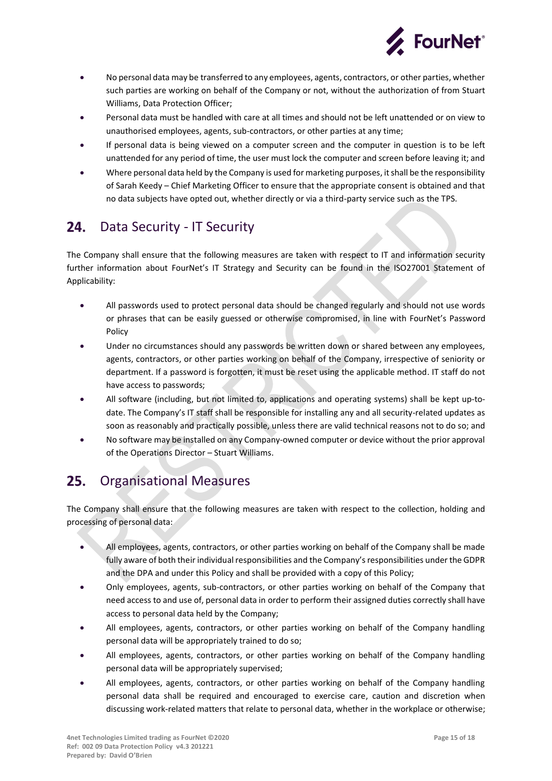

- No personal data may be transferred to any employees, agents, contractors, or other parties, whether such parties are working on behalf of the Company or not, without the authorization of from Stuart Williams, Data Protection Officer;
- Personal data must be handled with care at all times and should not be left unattended or on view to unauthorised employees, agents, sub-contractors, or other parties at any time;
- If personal data is being viewed on a computer screen and the computer in question is to be left unattended for any period of time, the user must lock the computer and screen before leaving it; and
- Where personal data held by the Company is used for marketing purposes, it shall be the responsibility of Sarah Keedy – Chief Marketing Officer to ensure that the appropriate consent is obtained and that no data subjects have opted out, whether directly or via a third-party service such as the TPS.

#### <span id="page-14-0"></span>24. Data Security - IT Security

The Company shall ensure that the following measures are taken with respect to IT and information security further information about FourNet's IT Strategy and Security can be found in the ISO27001 Statement of Applicability:

- All passwords used to protect personal data should be changed regularly and should not use words or phrases that can be easily guessed or otherwise compromised, in line with FourNet's Password Policy
- Under no circumstances should any passwords be written down or shared between any employees, agents, contractors, or other parties working on behalf of the Company, irrespective of seniority or department. If a password is forgotten, it must be reset using the applicable method. IT staff do not have access to passwords;
- All software (including, but not limited to, applications and operating systems) shall be kept up-todate. The Company's IT staff shall be responsible for installing any and all security-related updates as soon as reasonably and practically possible, unless there are valid technical reasons not to do so; and
- No software may be installed on any Company-owned computer or device without the prior approval of the Operations Director – Stuart Williams.

#### <span id="page-14-1"></span> $25.$ Organisational Measures

The Company shall ensure that the following measures are taken with respect to the collection, holding and processing of personal data:

- All employees, agents, contractors, or other parties working on behalf of the Company shall be made fully aware of both their individual responsibilities and the Company's responsibilities under the GDPR and the DPA and under this Policy and shall be provided with a copy of this Policy;
- Only employees, agents, sub-contractors, or other parties working on behalf of the Company that need access to and use of, personal data in order to perform their assigned duties correctly shall have access to personal data held by the Company;
- All employees, agents, contractors, or other parties working on behalf of the Company handling personal data will be appropriately trained to do so;
- All employees, agents, contractors, or other parties working on behalf of the Company handling personal data will be appropriately supervised;
- All employees, agents, contractors, or other parties working on behalf of the Company handling personal data shall be required and encouraged to exercise care, caution and discretion when discussing work-related matters that relate to personal data, whether in the workplace or otherwise;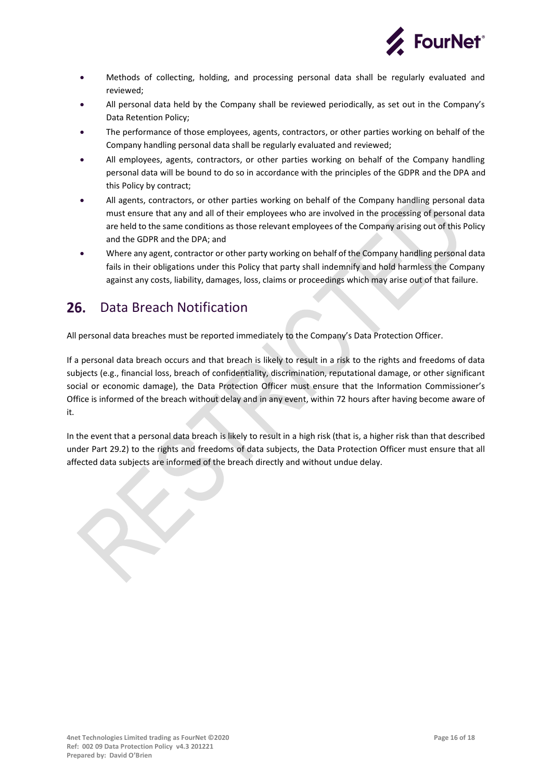

- Methods of collecting, holding, and processing personal data shall be regularly evaluated and reviewed;
- All personal data held by the Company shall be reviewed periodically, as set out in the Company's Data Retention Policy;
- The performance of those employees, agents, contractors, or other parties working on behalf of the Company handling personal data shall be regularly evaluated and reviewed;
- All employees, agents, contractors, or other parties working on behalf of the Company handling personal data will be bound to do so in accordance with the principles of the GDPR and the DPA and this Policy by contract;
- All agents, contractors, or other parties working on behalf of the Company handling personal data must ensure that any and all of their employees who are involved in the processing of personal data are held to the same conditions as those relevant employees of the Company arising out of this Policy and the GDPR and the DPA; and
- Where any agent, contractor or other party working on behalf of the Company handling personal data fails in their obligations under this Policy that party shall indemnify and hold harmless the Company against any costs, liability, damages, loss, claims or proceedings which may arise out of that failure.

#### <span id="page-15-0"></span> $26.$ Data Breach Notification

All personal data breaches must be reported immediately to the Company's Data Protection Officer.

If a personal data breach occurs and that breach is likely to result in a risk to the rights and freedoms of data subjects (e.g., financial loss, breach of confidentiality, discrimination, reputational damage, or other significant social or economic damage), the Data Protection Officer must ensure that the Information Commissioner's Office is informed of the breach without delay and in any event, within 72 hours after having become aware of it.

In the event that a personal data breach is likely to result in a high risk (that is, a higher risk than that described under Part 29.2) to the rights and freedoms of data subjects, the Data Protection Officer must ensure that all affected data subjects are informed of the breach directly and without undue delay.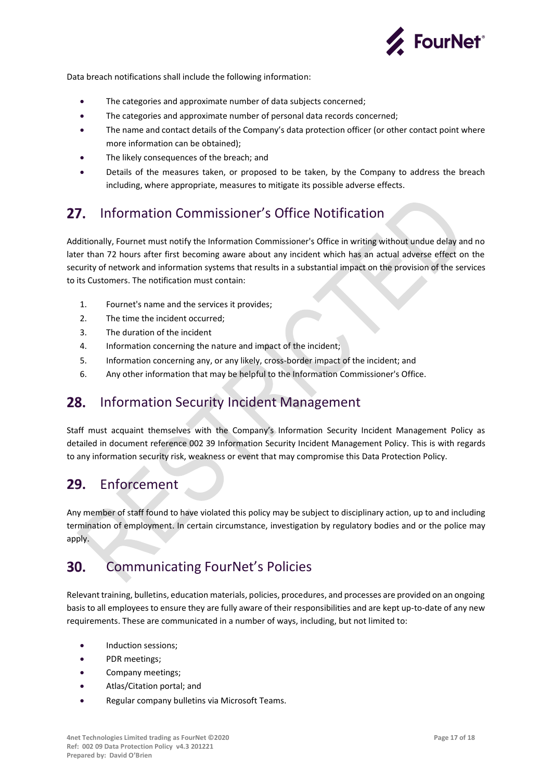

Data breach notifications shall include the following information:

- The categories and approximate number of data subjects concerned;
- The categories and approximate number of personal data records concerned;
- The name and contact details of the Company's data protection officer (or other contact point where more information can be obtained);
- The likely consequences of the breach; and
- Details of the measures taken, or proposed to be taken, by the Company to address the breach including, where appropriate, measures to mitigate its possible adverse effects.

#### <span id="page-16-0"></span> $27.$ Information Commissioner's Office Notification

Additionally, Fournet must notify the Information Commissioner's Office in writing without undue delay and no later than 72 hours after first becoming aware about any incident which has an actual adverse effect on the security of network and information systems that results in a substantial impact on the provision of the services to its Customers. The notification must contain:

- 1. Fournet's name and the services it provides;
- 2. The time the incident occurred;
- 3. The duration of the incident
- 4. Information concerning the nature and impact of the incident;
- 5. Information concerning any, or any likely, cross-border impact of the incident; and
- 6. Any other information that may be helpful to the Information Commissioner's Office.

#### <span id="page-16-1"></span>28. Information Security Incident Management

Staff must acquaint themselves with the Company's Information Security Incident Management Policy as detailed in document reference 002 39 Information Security Incident Management Policy. This is with regards to any information security risk, weakness or event that may compromise this Data Protection Policy.

#### <span id="page-16-2"></span>29. Enforcement

Any member of staff found to have violated this policy may be subject to disciplinary action, up to and including termination of employment. In certain circumstance, investigation by regulatory bodies and or the police may apply.

#### <span id="page-16-3"></span>Communicating FourNet's Policies  $30.$

Relevant training, bulletins, education materials, policies, procedures, and processes are provided on an ongoing basis to all employees to ensure they are fully aware of their responsibilities and are kept up-to-date of any new requirements. These are communicated in a number of ways, including, but not limited to:

- Induction sessions;
- PDR meetings;
- Company meetings;
- Atlas/Citation portal; and
- Regular company bulletins via Microsoft Teams.